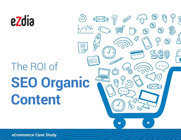

**eCommerce Case Study**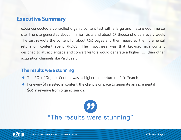## **Executive Summary**

eZdia conducted a controlled organic content test with a large and mature eCommerce site. The site generates about 1 million visits and about 25 thousand orders every week. The test rewrote the content for about 300 pages and then measured the incremental return on content spend (ROCS). The hypothesis was that keyword rich content designed to attract, engage and convert visitors would generate a higher ROI than other acquisition channels like Paid Search.

## **The results were stunning**

- The ROI of Organic Content was 3x higher than return on Paid Search
- For every \$1 invested in content, the client is on pace to generate an incremental \$60 in revenue from organic search.



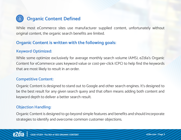

While most eCommerce sites use manufacturer supplied content, unfortunately without original content, the organic search benefits are limited.

### **Organic Content is written with the following goals:**

### **Keyword Optimized:**

While some optimize exclusively for average monthly search volume (AMS), eZdia's Organic Content for eCommerce uses keyword value or cost-per-click (CPC) to help find the keywords that are most likely to result in an order.

#### **Competitive Content:**

Organic Content is designed to stand out to Google and other search engines. It's designed to be the best result for any given search query and that often means adding both content and keyword depth to deliver a better search result.

#### **Objection Handling:**

Organic Content is designed to go beyond simple features and benefits and should incorporate strategies to identify and overcome common customer objections.

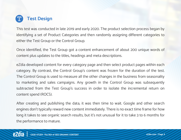

This test was conducted in late 2019 and early 2020. The product selection process began by identifying a set of Product Categories and then randomly assigning different categories to either the Test Group or the Control Group.

Once identified, the Test Group got a content enhancement of about 200 unique words of content plus updates to the titles, headings and meta descriptions.

eZdia developed content for every category page and then select product pages within each category. By contrast, the Control Group's content was frozen for the duration of the test. The Control Group is used to measure all the other changes in the business from seasonality to marketing and sales campaigns. Any growth in the Control Group was subsequently subtracted from the Test Group's success in order to isolate the incremental return on content spend (ROCS).

After creating and publishing the data, it was then time to wait. Google and other search engines don't typically reward new content immediately. There is no exact time frame for how long it takes to see organic search results, but it's not unusual for it to take 3 to 6 months for the performance to mature.

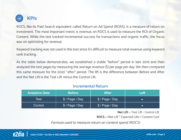

ROCS, like its Paid Search equivalent called Return on Ad Spend (ROAS), is a measure of return on investment. The most important metric is revenue, on ROCS is used to measure the ROI of Organic Content. While the test tracked incremental success for transactions and organic traffic, the focus was on optimizing for revenue.

Keyword tracking was not used in this test since it's difficult to measure total revenue using keyword rank tracking.

As the table below demonstrates, we established a stable "before" period in late 2019 and then analyzed the test pages by measuring the average revenue (\$) per page per day. We then compared this same measure for the 2020 "after" period. The lift is the difference between Before and After and the Net Lift is the Test Lift minus the Control Lift.

#### **Incremental Return**

| <b>Analytics Data</b> | <b>Before</b>   | <b>After</b>    | Left |
|-----------------------|-----------------|-----------------|------|
| Test                  | \$ / Page / Day | \$/Page/Day     |      |
| Control               | \$ / Page / Day | \$ / Page / Day |      |

**Net Lift** = Test Lift - Control Lift

**ROCS** = (Net Lift \* Expected Life) / Content Cost

Formula used to measure return on content spend (ROCS)

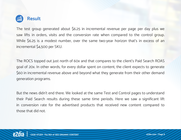

The test group generated about \$6.25 in incremental revenue per page per day plus we saw lifts in orders, visits and the conversion rate when compared to the control group. While \$6.25 is a modest number, over the same two-year horizon that's in excess of an incremental \$4,500 per SKU.

The ROCS topped out just north of 60x and that compares to the client's Paid Search ROAS goal of 20x. In other words, for every dollar spent on content, the client expects to generate \$60 in incremental revenue above and beyond what they generate from their other demand generation programs.

But the news didn't end there. We looked at the same Test and Control pages to understand their Paid Search results during these same time periods. Here we saw a significant lift in conversion rate for the advertised products that received new content compared to those that did not.